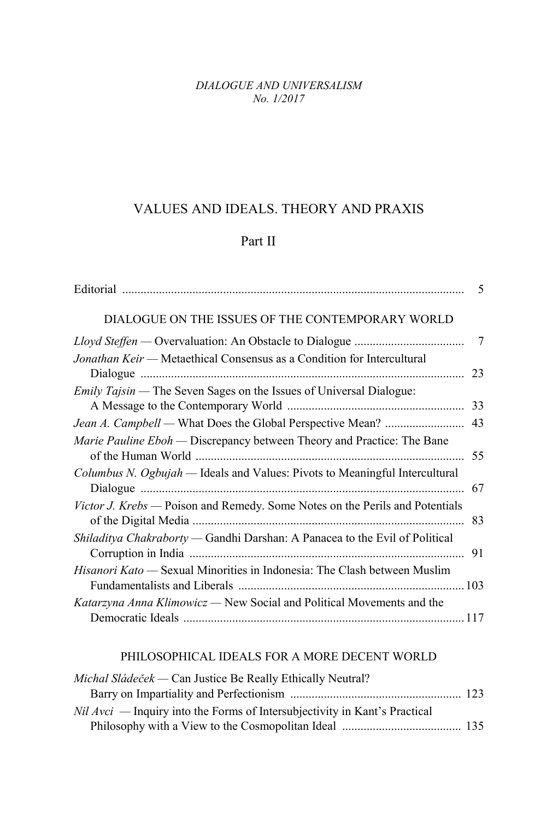*DIALOGUE AND UNIVERSALISM No. 1/2017*

## VALUES AND IDEALS. THEORY AND PRAXIS

## Part II

|                                                                               | 5  |
|-------------------------------------------------------------------------------|----|
| DIALOGUE ON THE ISSUES OF THE CONTEMPORARY WORLD                              |    |
|                                                                               |    |
| Jonathan Keir — Metaethical Consensus as a Condition for Intercultural        |    |
|                                                                               | 23 |
| Emily Tajsin - The Seven Sages on the Issues of Universal Dialogue:           |    |
|                                                                               | 33 |
|                                                                               | 43 |
| <i>Marie Pauline Eboh</i> — Discrepancy between Theory and Practice: The Bane |    |
| Columbus N. Ogbujah — Ideals and Values: Pivots to Meaningful Intercultural   | 67 |
| Victor J. Krebs - Poison and Remedy. Some Notes on the Perils and Potentials  |    |
| Shiladitya Chakraborty — Gandhi Darshan: A Panacea to the Evil of Political   |    |
| Hisanori Kato — Sexual Minorities in Indonesia: The Clash between Muslim      |    |
| Katarzyna Anna Klimowicz — New Social and Political Movements and the         |    |
|                                                                               |    |

## PHILOSOPHICAL IDEALS FOR A MORE DECENT WORLD

| Michal Sládeček — Can Justice Be Really Ethically Neutral?                   |  |
|------------------------------------------------------------------------------|--|
|                                                                              |  |
| $Nil$ Avci — Inquiry into the Forms of Intersubjectivity in Kant's Practical |  |
|                                                                              |  |